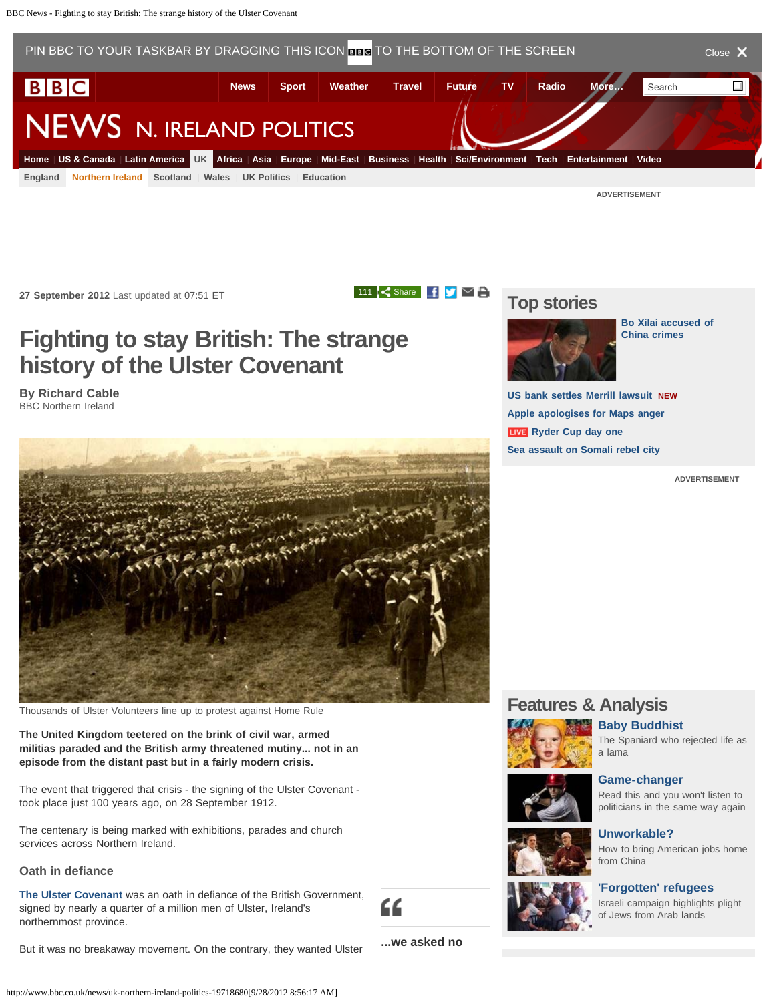## <span id="page-0-1"></span><span id="page-0-0"></span>**Fighting to stay British: The strange history of the Ulster Covenant**

**By Richard Cable** BBC Northern Ireland



Thousands of Ulster Volunteers line up to protest against Home Rule

**The United Kingdom teetered on the brink of civil war, armed militias paraded and the British army threatened mutiny... not in an episode from the distant past but in a fairly modern crisis.**

The event that triggered that crisis - the signing of the Ulster Covenant took place just 100 years ago, on 28 September 1912.

The centenary is being marked with exhibitions, parades and church services across Northern Ireland.

## **Oath in defiance**

**[The Ulster Covenant](http://www.bbc.co.uk/history/events/ulster_covenant)** was an oath in defiance of the British Government, signed by nearly a quarter of a million men of Ulster, Ireland's northernmost province.



**...we asked no**

But it was no breakaway movement. On the contrary, they wanted Ulster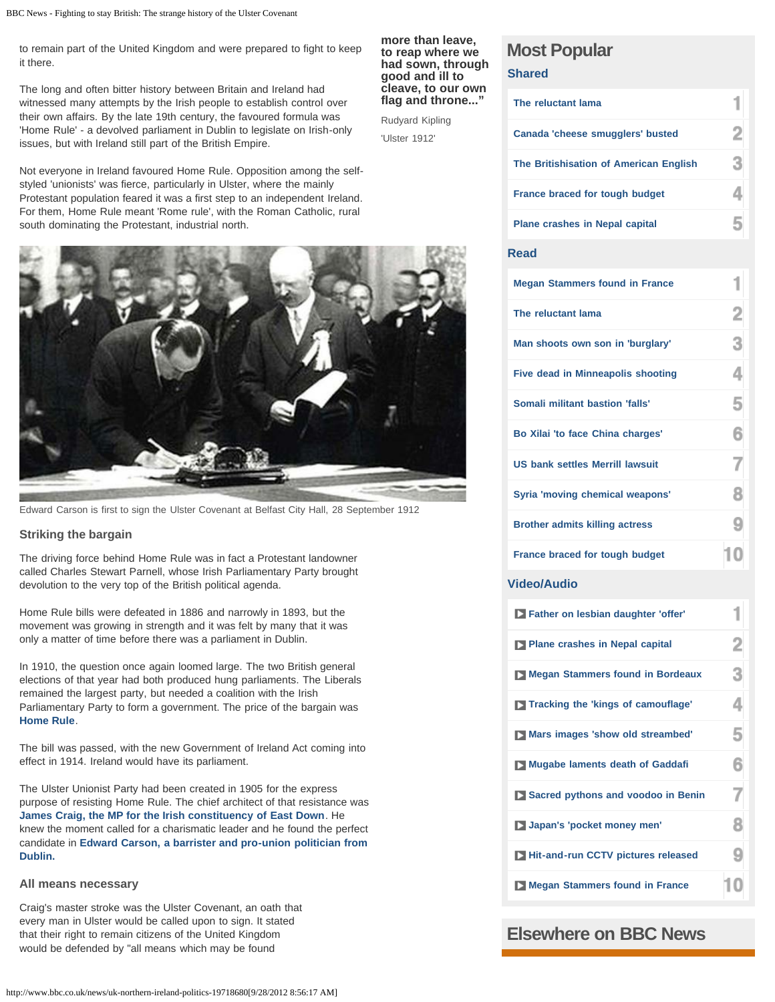to remain part of the United Kingdom and were prepared to fight to keep it there.

The long and often bitter history between Britain and Ireland had witnessed many attempts by the Irish people to establish control over their own affairs. By the late 19th century, the favoured formula was 'Home Rule' - a devolved parliament in Dublin to legislate on Irish-only issues, but with Ireland still part of the British Empire.

Not everyone in Ireland favoured Home Rule. Opposition among the selfstyled 'unionists' was fierce, particularly in Ulster, where the mainly Protestant population feared it was a first step to an independent Ireland. For them, Home Rule meant 'Rome rule', with the Roman Catholic, rural south dominating the Protestant, industrial north.

#### **more than leave, to reap where we had sown, through good and ill to cleave, to our own flag and throne..."**

Rudyard Kipling 'Ulster 1912'



Edward Carson is first to sign the Ulster Covenant at Belfast City Hall, 28 September 1912

## **Striking the bargain**

The driving force behind Home Rule was in fact a Protestant landowner called Charles Stewart Parnell, whose Irish Parliamentary Party brought devolution to the very top of the British political agenda.

Home Rule bills were defeated in 1886 and narrowly in 1893, but the movement was growing in strength and it was felt by many that it was only a matter of time before there was a parliament in Dublin.

In 1910, the question once again loomed large. The two British general elections of that year had both produced hung parliaments. The Liberals remained the largest party, but needed a coalition with the Irish Parliamentary Party to form a government. The price of the bargain was **[Home Rule](http://www.bbc.co.uk/news/uk-northern-ireland-17342745)**.

The bill was passed, with the new Government of Ireland Act coming into effect in 1914. Ireland would have its parliament.

The Ulster Unionist Party had been created in 1905 for the express purpose of resisting Home Rule. The chief architect of that resistance was **[James Craig, the MP for the Irish constituency of East Down](http://www.bbc.co.uk/history/people/james_craig)**. He knew the moment called for a charismatic leader and he found the perfect candidate in **[Edward Carson, a barrister and pro-union politician from](http://www.bbc.co.uk/history/people/edward_carson) [Dublin.](http://www.bbc.co.uk/history/people/edward_carson)**

### **All means necessary**

Craig's master stroke was the Ulster Covenant, an oath that every man in Ulster would be called upon to sign. It stated that their right to remain citizens of the United Kingdom would be defended by "all means which may be found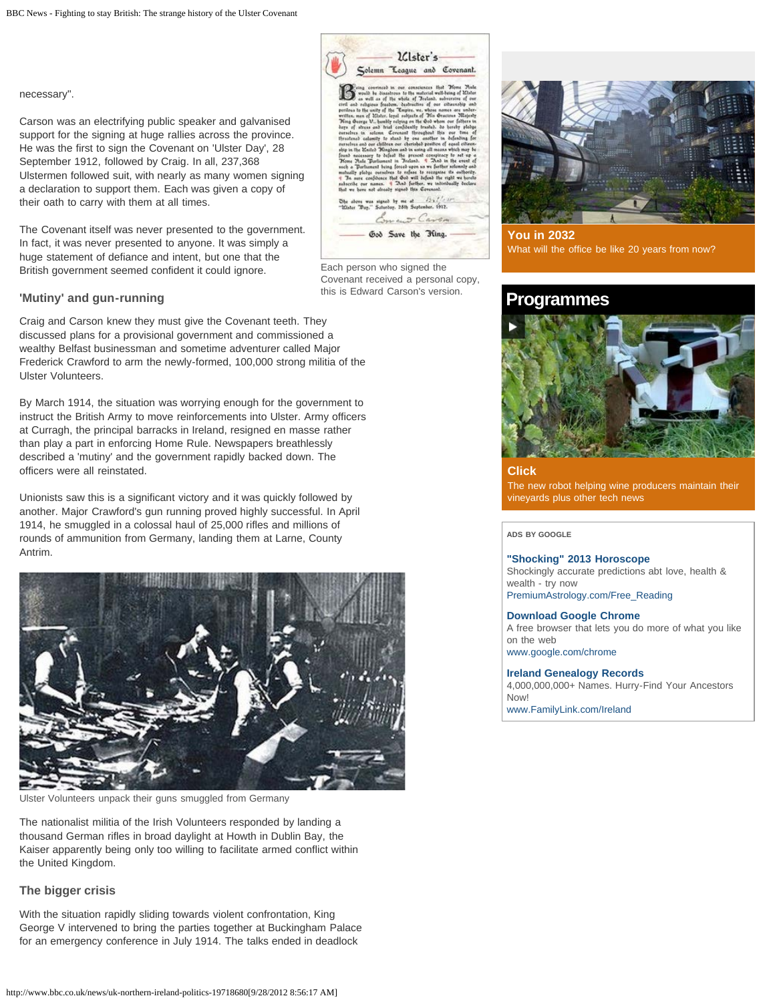necessary".

Carson was an electrifying public speaker and galvanised support for the signing at huge rallies across the province. He was the first to sign the Covenant on 'Ulster Day', 28 September 1912, followed by Craig. In all, 237,368 Ulstermen followed suit, with nearly as many women signing a declaration to support them. Each was given a copy of their oath to carry with them at all times.

The Covenant itself was never presented to the government. In fact, it was never presented to anyone. It was simply a huge statement of defiance and intent, but one that the British government seemed confident it could ignore.

## **'Mutiny' and gun-running**

Craig and Carson knew they must give the Covenant teeth. They discussed plans for a provisional government and commissioned a wealthy Belfast businessman and sometime adventurer called Major Frederick Crawford to arm the newly-formed, 100,000 strong militia of the Ulster Volunteers.

By March 1914, the situation was worrying enough for the government to instruct the British Army to move reinforcements into Ulster. Army officers at Curragh, the principal barracks in Ireland, resigned en masse rather than play a part in enforcing Home Rule. Newspapers breathlessly described a 'mutiny' and the government rapidly backed down. The officers were all reinstated.

Unionists saw this is a significant victory and it was quickly followed by another. Major Crawford's gun running proved highly successful. In April 1914, he smuggled in a colossal haul of 25,000 rifles and millions of rounds of ammunition from Germany, landing them at Larne, County Antrim.



Ulster Volunteers unpack their guns smuggled from Germany

The nationalist militia of the Irish Volunteers responded by landing a thousand German rifles in broad daylight at Howth in Dublin Bay, the Kaiser apparently being only too willing to facilitate armed conflict within the United Kingdom.

## **The bigger crisis**

With the situation rapidly sliding towards violent confrontation, King George V intervened to bring the parties together at Buckingham Palace for an emergency conference in July 1914. The talks ended in deadlock

| Foing convinced in our consciences that Tions Nule<br>would be disastrous to the material well-being of diluter.<br>as well as of the whole of Tecland, subversive of our<br>civil and religious freedom. destructive of our citiesnable and<br>perileus to the unity of the "Empire, we, whose names are under-<br>written, man of Mister, loyal subjects of Tils Gracious Majasty<br>Ning George U., bumbly relying on the Gob whom our fathers in<br>bays of stress and trial confidently trasted, do berely pledge<br>corselves in solemn. Covenant throughout this our time of<br>thrastened calamity to stand by one another in defending for<br>ourselves and our children our cherisbed position of agast citizen-<br>ship in the Mailed Kingdom and in using all means which may be<br>found necessary to defeat the present conspiracy to set up a<br>Hoss Nate Darlinson in Jecland, And in the event of<br>such a Darliament being forced-upon us we further solemnly and<br>multanilly plabos outsalves to refuse to recognise the authority.<br>4 In ours confidence that God will beford the right we herebe<br>subscribe our names. 4 That further, we intirtibually beclare<br>that we have not already signed this Covenant.<br>$45 - 10$<br>Ohe above was signed by me at<br>"Hister Day," Saturday, 28th September, 1912.<br>may Carson |  |  | Solemn League and Covenant. |
|-------------------------------------------------------------------------------------------------------------------------------------------------------------------------------------------------------------------------------------------------------------------------------------------------------------------------------------------------------------------------------------------------------------------------------------------------------------------------------------------------------------------------------------------------------------------------------------------------------------------------------------------------------------------------------------------------------------------------------------------------------------------------------------------------------------------------------------------------------------------------------------------------------------------------------------------------------------------------------------------------------------------------------------------------------------------------------------------------------------------------------------------------------------------------------------------------------------------------------------------------------------------------------------------------------------------------------------------------------------|--|--|-----------------------------|
|                                                                                                                                                                                                                                                                                                                                                                                                                                                                                                                                                                                                                                                                                                                                                                                                                                                                                                                                                                                                                                                                                                                                                                                                                                                                                                                                                             |  |  |                             |

Each person who signed the Covenant received a personal copy, this is Edward Carson's version.